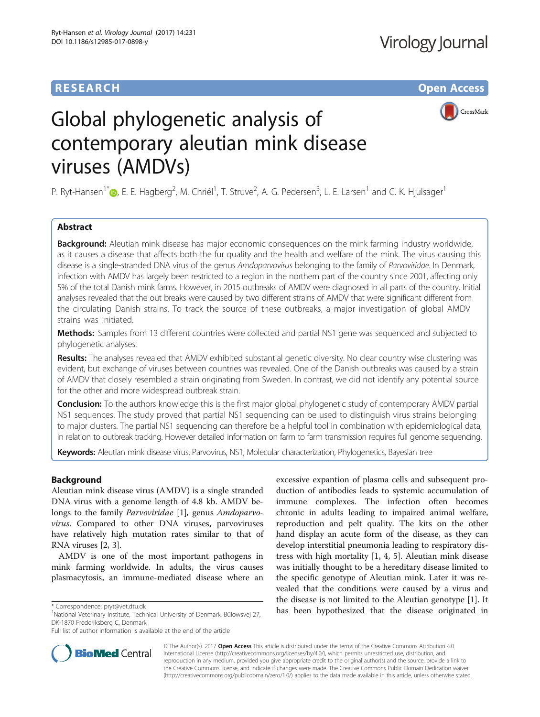# **RESEARCH CHE Open Access**



# Global phylogenetic analysis of contemporary aleutian mink disease viruses (AMDVs)

P. Ryt-Hansen<sup>1\*</sup> D[,](http://orcid.org/0000-0003-4819-6869) E. E. Hagberg<sup>2</sup>, M. Chriél<sup>1</sup>, T. Struve<sup>2</sup>, A. G. Pedersen<sup>3</sup>, L. E. Larsen<sup>1</sup> and C. K. Hjulsager<sup>1</sup>

# Abstract

**Background:** Aleutian mink disease has major economic consequences on the mink farming industry worldwide, as it causes a disease that affects both the fur quality and the health and welfare of the mink. The virus causing this disease is a single-stranded DNA virus of the genus Amdoparvovirus belonging to the family of Parvoviridae. In Denmark, infection with AMDV has largely been restricted to a region in the northern part of the country since 2001, affecting only 5% of the total Danish mink farms. However, in 2015 outbreaks of AMDV were diagnosed in all parts of the country. Initial analyses revealed that the out breaks were caused by two different strains of AMDV that were significant different from the circulating Danish strains. To track the source of these outbreaks, a major investigation of global AMDV strains was initiated.

Methods: Samples from 13 different countries were collected and partial NS1 gene was sequenced and subjected to phylogenetic analyses.

Results: The analyses revealed that AMDV exhibited substantial genetic diversity. No clear country wise clustering was evident, but exchange of viruses between countries was revealed. One of the Danish outbreaks was caused by a strain of AMDV that closely resembled a strain originating from Sweden. In contrast, we did not identify any potential source for the other and more widespread outbreak strain.

Conclusion: To the authors knowledge this is the first major global phylogenetic study of contemporary AMDV partial NS1 sequences. The study proved that partial NS1 sequencing can be used to distinguish virus strains belonging to major clusters. The partial NS1 sequencing can therefore be a helpful tool in combination with epidemiological data, in relation to outbreak tracking. However detailed information on farm to farm transmission requires full genome sequencing.

Keywords: Aleutian mink disease virus, Parvovirus, NS1, Molecular characterization, Phylogenetics, Bayesian tree

# Background

Aleutian mink disease virus (AMDV) is a single stranded DNA virus with a genome length of 4.8 kb. AMDV belongs to the family *Parvoviridae* [\[1](#page-5-0)], genus *Amdoparvo*virus. Compared to other DNA viruses, parvoviruses have relatively high mutation rates similar to that of RNA viruses [[2, 3\]](#page-5-0).

AMDV is one of the most important pathogens in mink farming worldwide. In adults, the virus causes plasmacytosis, an immune-mediated disease where an

<sup>1</sup>National Veterinary Institute, Technical University of Denmark, Bülowsvej 27, DK-1870 Frederiksberg C, Denmark

excessive expantion of plasma cells and subsequent production of antibodies leads to systemic accumulation of immune complexes. The infection often becomes chronic in adults leading to impaired animal welfare, reproduction and pelt quality. The kits on the other hand display an acute form of the disease, as they can develop interstitial pneumonia leading to respiratory distress with high mortality [\[1, 4](#page-5-0), [5\]](#page-5-0). Aleutian mink disease was initially thought to be a hereditary disease limited to the specific genotype of Aleutian mink. Later it was revealed that the conditions were caused by a virus and the disease is not limited to the Aleutian genotype [[1\]](#page-5-0). It \* Correspondence: [pryt@vet.dtu.dk](mailto:pryt@vet.dtu.dk)<br><sup>1</sup>National Veterinary legitivity Technical University of Danmark Bülgyevei 27 has been hypothesized that the disease originated in



© The Author(s). 2017 **Open Access** This article is distributed under the terms of the Creative Commons Attribution 4.0 International License [\(http://creativecommons.org/licenses/by/4.0/](http://creativecommons.org/licenses/by/4.0/)), which permits unrestricted use, distribution, and reproduction in any medium, provided you give appropriate credit to the original author(s) and the source, provide a link to the Creative Commons license, and indicate if changes were made. The Creative Commons Public Domain Dedication waiver [\(http://creativecommons.org/publicdomain/zero/1.0/](http://creativecommons.org/publicdomain/zero/1.0/)) applies to the data made available in this article, unless otherwise stated.

Full list of author information is available at the end of the article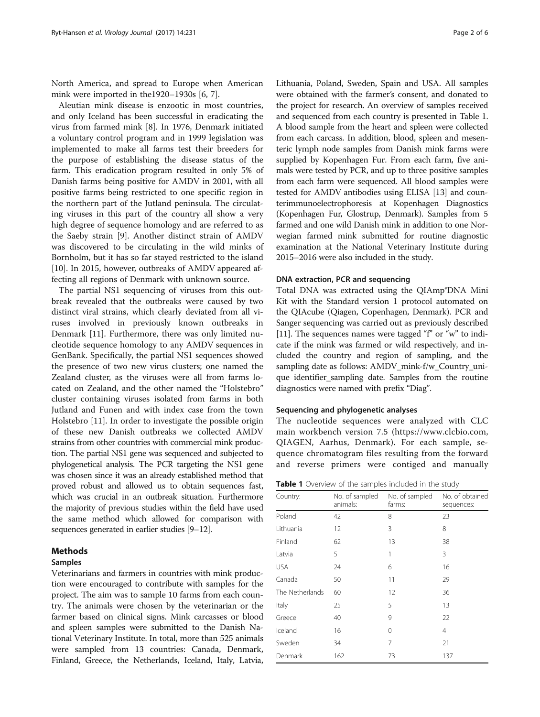North America, and spread to Europe when American mink were imported in the1920–1930s [\[6](#page-5-0), [7](#page-5-0)].

Aleutian mink disease is enzootic in most countries, and only Iceland has been successful in eradicating the virus from farmed mink [[8\]](#page-5-0). In 1976, Denmark initiated a voluntary control program and in 1999 legislation was implemented to make all farms test their breeders for the purpose of establishing the disease status of the farm. This eradication program resulted in only 5% of Danish farms being positive for AMDV in 2001, with all positive farms being restricted to one specific region in the northern part of the Jutland peninsula. The circulating viruses in this part of the country all show a very high degree of sequence homology and are referred to as the Saeby strain [\[9](#page-5-0)]. Another distinct strain of AMDV was discovered to be circulating in the wild minks of Bornholm, but it has so far stayed restricted to the island [[10\]](#page-5-0). In 2015, however, outbreaks of AMDV appeared affecting all regions of Denmark with unknown source.

The partial NS1 sequencing of viruses from this outbreak revealed that the outbreaks were caused by two distinct viral strains, which clearly deviated from all viruses involved in previously known outbreaks in Denmark [[11\]](#page-5-0). Furthermore, there was only limited nucleotide sequence homology to any AMDV sequences in GenBank. Specifically, the partial NS1 sequences showed the presence of two new virus clusters; one named the Zealand cluster, as the viruses were all from farms located on Zealand, and the other named the "Holstebro" cluster containing viruses isolated from farms in both Jutland and Funen and with index case from the town Holstebro [\[11](#page-5-0)]. In order to investigate the possible origin of these new Danish outbreaks we collected AMDV strains from other countries with commercial mink production. The partial NS1 gene was sequenced and subjected to phylogenetical analysis. The PCR targeting the NS1 gene was chosen since it was an already established method that proved robust and allowed us to obtain sequences fast, which was crucial in an outbreak situation. Furthermore the majority of previous studies within the field have used the same method which allowed for comparison with sequences generated in earlier studies [\[9](#page-5-0)–[12](#page-5-0)].

#### Methods

# Samples

Veterinarians and farmers in countries with mink production were encouraged to contribute with samples for the project. The aim was to sample 10 farms from each country. The animals were chosen by the veterinarian or the farmer based on clinical signs. Mink carcasses or blood and spleen samples were submitted to the Danish National Veterinary Institute. In total, more than 525 animals were sampled from 13 countries: Canada, Denmark, Finland, Greece, the Netherlands, Iceland, Italy, Latvia, Lithuania, Poland, Sweden, Spain and USA. All samples were obtained with the farmer's consent, and donated to the project for research. An overview of samples received and sequenced from each country is presented in Table 1. A blood sample from the heart and spleen were collected from each carcass. In addition, blood, spleen and mesenteric lymph node samples from Danish mink farms were supplied by Kopenhagen Fur. From each farm, five animals were tested by PCR, and up to three positive samples from each farm were sequenced. All blood samples were tested for AMDV antibodies using ELISA [[13](#page-5-0)] and counterimmunoelectrophoresis at Kopenhagen Diagnostics (Kopenhagen Fur, Glostrup, Denmark). Samples from 5 farmed and one wild Danish mink in addition to one Norwegian farmed mink submitted for routine diagnostic examination at the National Veterinary Institute during 2015–2016 were also included in the study.

#### DNA extraction, PCR and sequencing

Total DNA was extracted using the QIAmp®DNA Mini Kit with the Standard version 1 protocol automated on the QIAcube (Qiagen, Copenhagen, Denmark). PCR and Sanger sequencing was carried out as previously described [[11](#page-5-0)]. The sequences names were tagged "f" or "w" to indicate if the mink was farmed or wild respectively, and included the country and region of sampling, and the sampling date as follows: AMDV\_mink-f/w\_Country\_unique identifier\_sampling date. Samples from the routine diagnostics were named with prefix "Diag".

## Sequencing and phylogenetic analyses

The nucleotide sequences were analyzed with CLC main workbench version 7.5 (<https://www.clcbio.com>, QIAGEN, Aarhus, Denmark). For each sample, sequence chromatogram files resulting from the forward and reverse primers were contiged and manually

|  | Table 1 Overview of the samples included in the study |  |  |  |  |  |  |
|--|-------------------------------------------------------|--|--|--|--|--|--|
|--|-------------------------------------------------------|--|--|--|--|--|--|

| Country:        | No. of sampled<br>animals: | No. of sampled<br>farms: | No. of obtained<br>sequences: |
|-----------------|----------------------------|--------------------------|-------------------------------|
| Poland          | 42                         | 8                        | 23                            |
| Lithuania       | 12                         | 3                        | 8                             |
| Finland         | 62                         | 13                       | 38                            |
| Latvia          | 5                          | 1                        | 3                             |
| USA             | 24                         | 6                        | 16                            |
| Canada          | 50                         | 11                       | 29                            |
| The Netherlands | 60                         | 12                       | 36                            |
| Italy           | 25                         | 5                        | 13                            |
| Greece          | 40                         | 9                        | 22                            |
| Iceland         | 16                         | 0                        | $\overline{4}$                |
| Sweden          | 34                         | 7                        | 21                            |
| Denmark         | 162                        | 73                       | 137                           |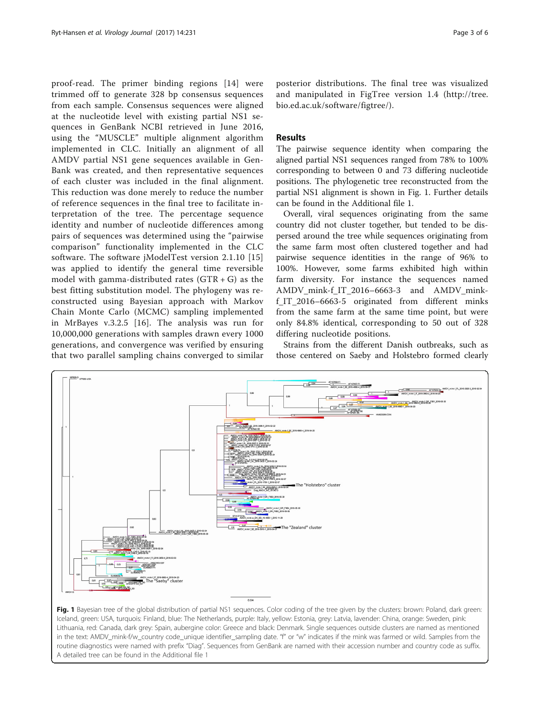<span id="page-2-0"></span>proof-read. The primer binding regions [\[14\]](#page-5-0) were trimmed off to generate 328 bp consensus sequences from each sample. Consensus sequences were aligned at the nucleotide level with existing partial NS1 sequences in GenBank NCBI retrieved in June 2016, using the "MUSCLE" multiple alignment algorithm implemented in CLC. Initially an alignment of all AMDV partial NS1 gene sequences available in Gen-Bank was created, and then representative sequences of each cluster was included in the final alignment. This reduction was done merely to reduce the number of reference sequences in the final tree to facilitate interpretation of the tree. The percentage sequence identity and number of nucleotide differences among pairs of sequences was determined using the "pairwise comparison" functionality implemented in the CLC software. The software jModelTest version 2.1.10 [[15](#page-5-0)] was applied to identify the general time reversible model with gamma-distributed rates  $(GTR + G)$  as the best fitting substitution model. The phylogeny was reconstructed using Bayesian approach with Markov Chain Monte Carlo (MCMC) sampling implemented in MrBayes v.3.2.5 [[16](#page-5-0)]. The analysis was run for 10,000,000 generations with samples drawn every 1000 generations, and convergence was verified by ensuring that two parallel sampling chains converged to similar

posterior distributions. The final tree was visualized and manipulated in FigTree version 1.4 [\(http://tree.](http://tree.bio.ed.ac.uk/software/figtree) [bio.ed.ac.uk/software/figtree/](http://tree.bio.ed.ac.uk/software/figtree)).

# Results

The pairwise sequence identity when comparing the aligned partial NS1 sequences ranged from 78% to 100% corresponding to between 0 and 73 differing nucleotide positions. The phylogenetic tree reconstructed from the partial NS1 alignment is shown in Fig. 1. Further details can be found in the Additional file [1](#page-4-0).

Overall, viral sequences originating from the same country did not cluster together, but tended to be dispersed around the tree while sequences originating from the same farm most often clustered together and had pairwise sequence identities in the range of 96% to 100%. However, some farms exhibited high within farm diversity. For instance the sequences named AMDV\_mink-f\_IT\_2016–6663-3 and AMDV\_minkf\_IT\_2016–6663-5 originated from different minks from the same farm at the same time point, but were only 84.8% identical, corresponding to 50 out of 328 differing nucleotide positions.

Strains from the different Danish outbreaks, such as those centered on Saeby and Holstebro formed clearly



Iceland, green: USA, turquois: Finland, blue: The Netherlands, purple: Italy, yellow: Estonia, grey: Latvia, lavender: China, orange: Sweden, pink: Lithuania, red: Canada, dark grey: Spain, aubergine color: Greece and black: Denmark. Single sequences outside clusters are named as mentioned in the text: AMDV\_mink-f/w\_country code\_unique identifier\_sampling date. "f" or "w" indicates if the mink was farmed or wild. Samples from the routine diagnostics were named with prefix "Diag". Sequences from GenBank are named with their accession number and country code as suffix. A detailed tree can be found in the Additional file [1](#page-4-0)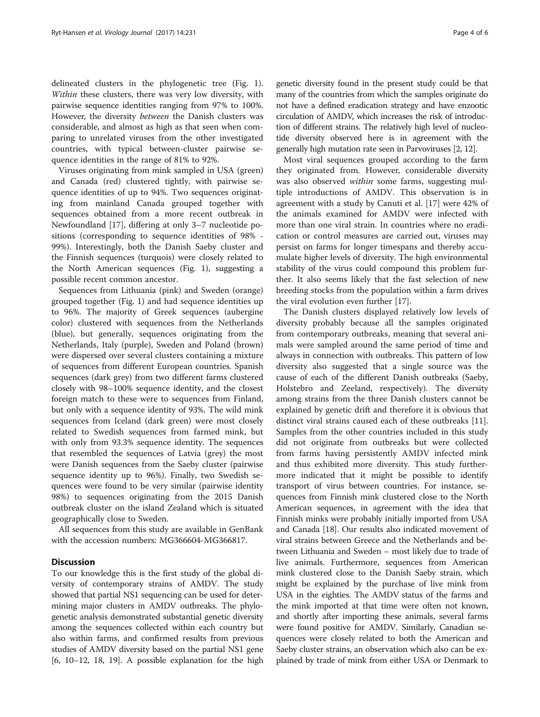delineated clusters in the phylogenetic tree (Fig. [1](#page-2-0)). Within these clusters, there was very low diversity, with pairwise sequence identities ranging from 97% to 100%. However, the diversity between the Danish clusters was considerable, and almost as high as that seen when comparing to unrelated viruses from the other investigated countries, with typical between-cluster pairwise sequence identities in the range of 81% to 92%.

Viruses originating from mink sampled in USA (green) and Canada (red) clustered tightly, with pairwise sequence identities of up to 94%. Two sequences originating from mainland Canada grouped together with sequences obtained from a more recent outbreak in Newfoundland [\[17](#page-5-0)], differing at only 3–7 nucleotide positions (corresponding to sequence identities of 98% - 99%). Interestingly, both the Danish Saeby cluster and the Finnish sequences (turquois) were closely related to the North American sequences (Fig. [1\)](#page-2-0), suggesting a possible recent common ancestor.

Sequences from Lithuania (pink) and Sweden (orange) grouped together (Fig. [1](#page-2-0)) and had sequence identities up to 96%. The majority of Greek sequences (aubergine color) clustered with sequences from the Netherlands (blue), but generally, sequences originating from the Netherlands, Italy (purple), Sweden and Poland (brown) were dispersed over several clusters containing a mixture of sequences from different European countries. Spanish sequences (dark grey) from two different farms clustered closely with 98–100% sequence identity, and the closest foreign match to these were to sequences from Finland, but only with a sequence identity of 93%. The wild mink sequences from Iceland (dark green) were most closely related to Swedish sequences from farmed mink, but with only from 93.3% sequence identity. The sequences that resembled the sequences of Latvia (grey) the most were Danish sequences from the Saeby cluster (pairwise sequence identity up to 96%). Finally, two Swedish sequences were found to be very similar (pairwise identity 98%) to sequences originating from the 2015 Danish outbreak cluster on the island Zealand which is situated geographically close to Sweden.

All sequences from this study are available in GenBank with the accession numbers: MG366604-MG366817.

## **Discussion**

To our knowledge this is the first study of the global diversity of contemporary strains of AMDV. The study showed that partial NS1 sequencing can be used for determining major clusters in AMDV outbreaks. The phylogenetic analysis demonstrated substantial genetic diversity among the sequences collected within each country but also within farms, and confirmed results from previous studies of AMDV diversity based on the partial NS1 gene  $[6, 10-12, 18, 19]$  $[6, 10-12, 18, 19]$  $[6, 10-12, 18, 19]$  $[6, 10-12, 18, 19]$  $[6, 10-12, 18, 19]$  $[6, 10-12, 18, 19]$ . A possible explanation for the high genetic diversity found in the present study could be that many of the countries from which the samples originate do not have a defined eradication strategy and have enzootic circulation of AMDV, which increases the risk of introduction of different strains. The relatively high level of nucleotide diversity observed here is in agreement with the generally high mutation rate seen in Parvoviruses [\[2, 12\]](#page-5-0).

Most viral sequences grouped according to the farm they originated from. However, considerable diversity was also observed within some farms, suggesting multiple introductions of AMDV. This observation is in agreement with a study by Canuti et al. [[17](#page-5-0)] were 42% of the animals examined for AMDV were infected with more than one viral strain. In countries where no eradication or control measures are carried out, viruses may persist on farms for longer timespans and thereby accumulate higher levels of diversity. The high environmental stability of the virus could compound this problem further. It also seems likely that the fast selection of new breeding stocks from the population within a farm drives the viral evolution even further [[17\]](#page-5-0).

The Danish clusters displayed relatively low levels of diversity probably because all the samples originated from contemporary outbreaks, meaning that several animals were sampled around the same period of time and always in connection with outbreaks. This pattern of low diversity also suggested that a single source was the cause of each of the different Danish outbreaks (Saeby, Holstebro and Zeeland, respectively). The diversity among strains from the three Danish clusters cannot be explained by genetic drift and therefore it is obvious that distinct viral strains caused each of these outbreaks [\[11](#page-5-0)]. Samples from the other countries included in this study did not originate from outbreaks but were collected from farms having persistently AMDV infected mink and thus exhibited more diversity. This study furthermore indicated that it might be possible to identify transport of virus between countries. For instance, sequences from Finnish mink clustered close to the North American sequences, in agreement with the idea that Finnish minks were probably initially imported from USA and Canada [\[18\]](#page-5-0). Our results also indicated movement of viral strains between Greece and the Netherlands and between Lithuania and Sweden – most likely due to trade of live animals. Furthermore, sequences from American mink clustered close to the Danish Saeby strain, which might be explained by the purchase of live mink from USA in the eighties. The AMDV status of the farms and the mink imported at that time were often not known, and shortly after importing these animals, several farms were found positive for AMDV. Similarly, Canadian sequences were closely related to both the American and Saeby cluster strains, an observation which also can be explained by trade of mink from either USA or Denmark to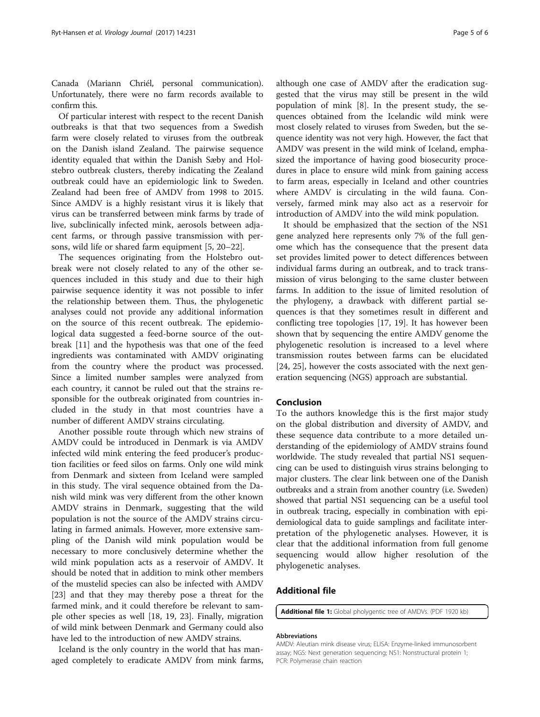<span id="page-4-0"></span>Canada (Mariann Chriél, personal communication). Unfortunately, there were no farm records available to confirm this.

Of particular interest with respect to the recent Danish outbreaks is that that two sequences from a Swedish farm were closely related to viruses from the outbreak on the Danish island Zealand. The pairwise sequence identity equaled that within the Danish Sæby and Holstebro outbreak clusters, thereby indicating the Zealand outbreak could have an epidemiologic link to Sweden. Zealand had been free of AMDV from 1998 to 2015. Since AMDV is a highly resistant virus it is likely that virus can be transferred between mink farms by trade of live, subclinically infected mink, aerosols between adjacent farms, or through passive transmission with persons, wild life or shared farm equipment [\[5, 20](#page-5-0)–[22\]](#page-5-0).

The sequences originating from the Holstebro outbreak were not closely related to any of the other sequences included in this study and due to their high pairwise sequence identity it was not possible to infer the relationship between them. Thus, the phylogenetic analyses could not provide any additional information on the source of this recent outbreak. The epidemiological data suggested a feed-borne source of the outbreak [\[11](#page-5-0)] and the hypothesis was that one of the feed ingredients was contaminated with AMDV originating from the country where the product was processed. Since a limited number samples were analyzed from each country, it cannot be ruled out that the strains responsible for the outbreak originated from countries included in the study in that most countries have a number of different AMDV strains circulating.

Another possible route through which new strains of AMDV could be introduced in Denmark is via AMDV infected wild mink entering the feed producer's production facilities or feed silos on farms. Only one wild mink from Denmark and sixteen from Iceland were sampled in this study. The viral sequence obtained from the Danish wild mink was very different from the other known AMDV strains in Denmark, suggesting that the wild population is not the source of the AMDV strains circulating in farmed animals. However, more extensive sampling of the Danish wild mink population would be necessary to more conclusively determine whether the wild mink population acts as a reservoir of AMDV. It should be noted that in addition to mink other members of the mustelid species can also be infected with AMDV [[23\]](#page-5-0) and that they may thereby pose a threat for the farmed mink, and it could therefore be relevant to sample other species as well [[18, 19](#page-5-0), [23](#page-5-0)]. Finally, migration of wild mink between Denmark and Germany could also have led to the introduction of new AMDV strains.

Iceland is the only country in the world that has managed completely to eradicate AMDV from mink farms,

although one case of AMDV after the eradication suggested that the virus may still be present in the wild population of mink [[8\]](#page-5-0). In the present study, the sequences obtained from the Icelandic wild mink were most closely related to viruses from Sweden, but the sequence identity was not very high. However, the fact that AMDV was present in the wild mink of Iceland, emphasized the importance of having good biosecurity procedures in place to ensure wild mink from gaining access to farm areas, especially in Iceland and other countries where AMDV is circulating in the wild fauna. Conversely, farmed mink may also act as a reservoir for introduction of AMDV into the wild mink population.

It should be emphasized that the section of the NS1 gene analyzed here represents only 7% of the full genome which has the consequence that the present data set provides limited power to detect differences between individual farms during an outbreak, and to track transmission of virus belonging to the same cluster between farms. In addition to the issue of limited resolution of the phylogeny, a drawback with different partial sequences is that they sometimes result in different and conflicting tree topologies [\[17](#page-5-0), [19\]](#page-5-0). It has however been shown that by sequencing the entire AMDV genome the phylogenetic resolution is increased to a level where transmission routes between farms can be elucidated [[24, 25\]](#page-5-0), however the costs associated with the next generation sequencing (NGS) approach are substantial.

# Conclusion

To the authors knowledge this is the first major study on the global distribution and diversity of AMDV, and these sequence data contribute to a more detailed understanding of the epidemiology of AMDV strains found worldwide. The study revealed that partial NS1 sequencing can be used to distinguish virus strains belonging to major clusters. The clear link between one of the Danish outbreaks and a strain from another country (i.e. Sweden) showed that partial NS1 sequencing can be a useful tool in outbreak tracing, especially in combination with epidemiological data to guide samplings and facilitate interpretation of the phylogenetic analyses. However, it is clear that the additional information from full genome sequencing would allow higher resolution of the phylogenetic analyses.

## Additional file

[Additional file 1:](dx.doi.org/10.1186/s12985-017-0898-y) Global pholygentic tree of AMDVs. (PDF 1920 kb)

#### Abbreviations

AMDV: Aleutian mink disease virus; ELISA: Enzyme-linked immunosorbent assay; NGS: Next generation sequencing; NS1: Nonstructural protein 1; PCR: Polymerase chain reaction